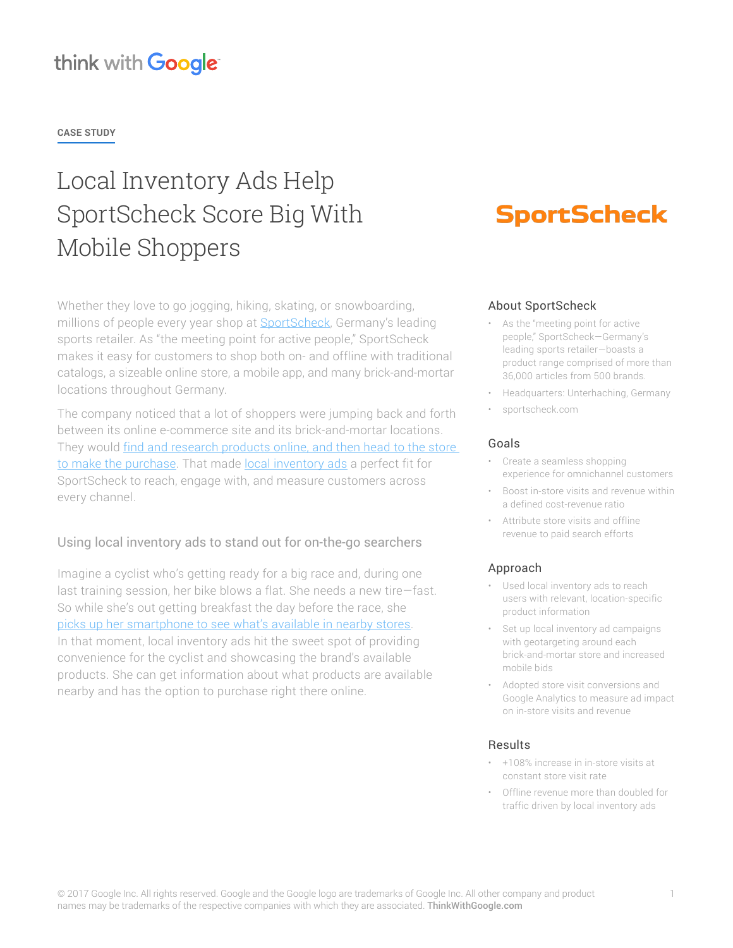### think with Google

**CASE STUDY**

# Local Inventory Ads Help SportScheck Score Big With Mobile Shoppers

Whether they love to go jogging, hiking, skating, or snowboarding, millions of people every year shop at [SportScheck,](http://www.sportscheck.com/) Germany's leading sports retailer. As "the meeting point for active people," SportScheck makes it easy for customers to shop both on- and offline with traditional catalogs, a sizeable online store, a mobile app, and many brick-and-mortar locations throughout Germany.

The company noticed that a lot of shoppers were jumping back and forth between its online e-commerce site and its brick-and-mortar locations. They would find and research products online, and then head to the store [to make the purchase](https://www.thinkwithgoogle.com/articles/mobile-search-consumer-behavior-data.html). That made [local inventory ads](https://support.google.com/merchants/answer/3057972?hl=en) a perfect fit for SportScheck to reach, engage with, and measure customers across every channel.

#### Using local inventory ads to stand out for on-the-go searchers

Imagine a cyclist who's getting ready for a big race and, during one last training session, her bike blows a flat. She needs a new tire—fast. So while she's out getting breakfast the day before the race, she [picks up her smartphone to see what's available in nearby stores](https://www.thinkwithgoogle.com/articles/i-want-to-buy-moments.html). In that moment, local inventory ads hit the sweet spot of providing convenience for the cyclist and showcasing the brand's available products. She can get information about what products are available nearby and has the option to purchase right there online.

## **SportScheck**

#### About SportScheck

- As the "meeting point for active people," SportScheck—Germany's leading sports retailer—boasts a product range comprised of more than 36,000 articles from 500 brands.
- Headquarters: Unterhaching, Germany
- sportscheck.com

#### Goals

- Create a seamless shopping experience for omnichannel customers
- Boost in-store visits and revenue within a defined cost-revenue ratio
- Attribute store visits and offline revenue to paid search efforts

#### Approach

- Used local inventory ads to reach users with relevant, location-specific product information
- Set up local inventory ad campaigns with geotargeting around each brick-and-mortar store and increased mobile bids
- Adopted store visit conversions and Google Analytics to measure ad impact on in-store visits and revenue

#### Results

- +108% increase in in-store visits at constant store visit rate
- Offline revenue more than doubled for traffic driven by local inventory ads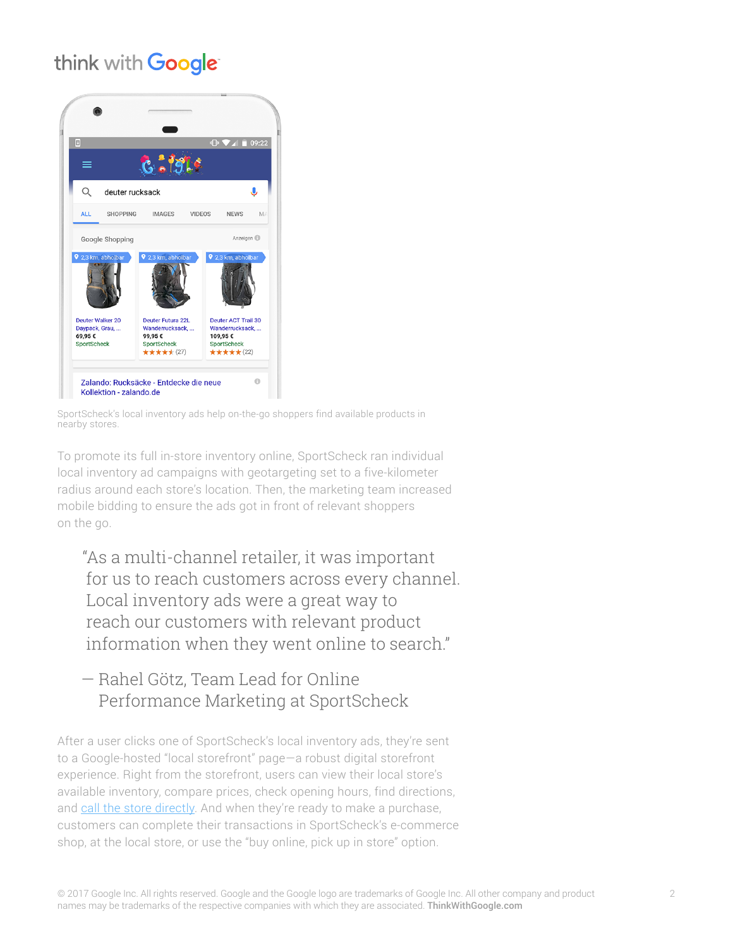### think with Google



SportScheck's local inventory ads help on-the-go shoppers find available products in nearby stores.

To promote its full in-store inventory online, SportScheck ran individual local inventory ad campaigns with geotargeting set to a five-kilometer radius around each store's location. Then, the marketing team increased mobile bidding to ensure the ads got in front of relevant shoppers on the go.

"As a multi-channel retailer, it was important for us to reach customers across every channel. Local inventory ads were a great way to reach our customers with relevant product information when they went online to search."

### — Rahel Götz, Team Lead for Online Performance Marketing at SportScheck

After a user clicks one of SportScheck's local inventory ads, they're sent to a Google-hosted "local storefront" page—a robust digital storefront experience. Right from the storefront, users can view their local store's available inventory, compare prices, check opening hours, find directions, and [call the store directly.](https://support.google.com/adwords/answer/2453991?hl=en) And when they're ready to make a purchase, customers can complete their transactions in SportScheck's e-commerce shop, at the local store, or use the "buy online, pick up in store" option.